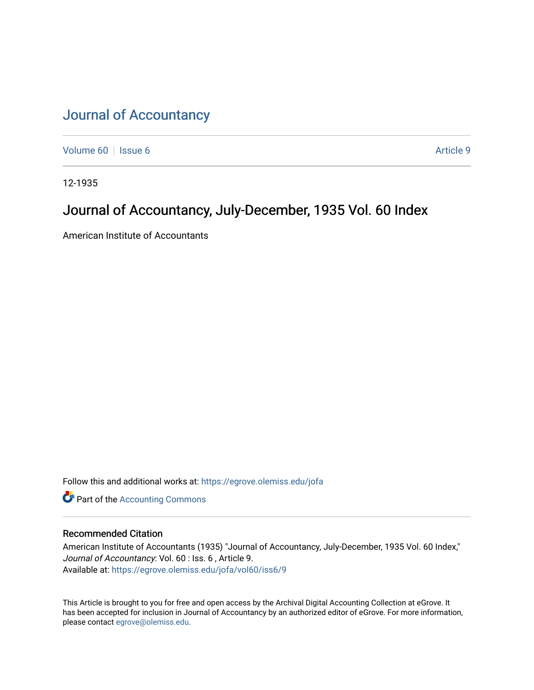# [Journal of Accountancy](https://egrove.olemiss.edu/jofa)

[Volume 60](https://egrove.olemiss.edu/jofa/vol60) | [Issue 6](https://egrove.olemiss.edu/jofa/vol60/iss6) Article 9

12-1935

### Journal of Accountancy, July-December, 1935 Vol. 60 Index

American Institute of Accountants

Follow this and additional works at: [https://egrove.olemiss.edu/jofa](https://egrove.olemiss.edu/jofa?utm_source=egrove.olemiss.edu%2Fjofa%2Fvol60%2Fiss6%2F9&utm_medium=PDF&utm_campaign=PDFCoverPages) 

**Part of the [Accounting Commons](http://network.bepress.com/hgg/discipline/625?utm_source=egrove.olemiss.edu%2Fjofa%2Fvol60%2Fiss6%2F9&utm_medium=PDF&utm_campaign=PDFCoverPages)** 

#### Recommended Citation

American Institute of Accountants (1935) "Journal of Accountancy, July-December, 1935 Vol. 60 Index," Journal of Accountancy: Vol. 60 : Iss. 6 , Article 9. Available at: [https://egrove.olemiss.edu/jofa/vol60/iss6/9](https://egrove.olemiss.edu/jofa/vol60/iss6/9?utm_source=egrove.olemiss.edu%2Fjofa%2Fvol60%2Fiss6%2F9&utm_medium=PDF&utm_campaign=PDFCoverPages) 

This Article is brought to you for free and open access by the Archival Digital Accounting Collection at eGrove. It has been accepted for inclusion in Journal of Accountancy by an authorized editor of eGrove. For more information, please contact [egrove@olemiss.edu.](mailto:egrove@olemiss.edu)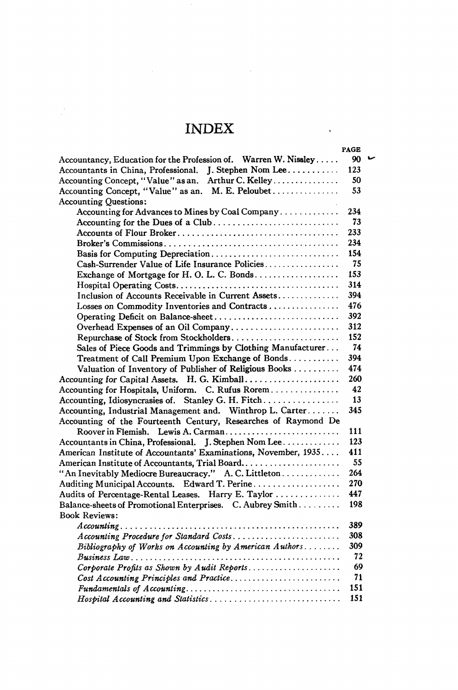## INDEX

 $\ddot{\phantom{a}}$ 

 $\epsilon$ 

|                                                                             | <b>PAGE</b> |  |
|-----------------------------------------------------------------------------|-------------|--|
| Accountancy, Education for the Profession of. Warren W. Nissley             | 90          |  |
| Accountants in China, Professional. J. Stephen Nom Lee                      | 123         |  |
| Accounting Concept, "Value" as an. Arthur C. Kelley                         | 50          |  |
| Accounting Concept, "Value" as an. M. E. Peloubet                           | 53          |  |
| <b>Accounting Questions:</b>                                                |             |  |
| Accounting for Advances to Mines by Coal Company                            | 234         |  |
| Accounting for the Dues of a Club                                           | 73          |  |
|                                                                             | 233         |  |
|                                                                             | 234         |  |
| Basis for Computing Depreciation                                            | 154         |  |
| Cash-Surrender Value of Life Insurance Policies                             | 75          |  |
| Exchange of Mortgage for H.O.L.C. Bonds                                     | 153         |  |
|                                                                             | 314         |  |
| Inclusion of Accounts Receivable in Current Assets                          | 394         |  |
| Losses on Commodity Inventories and Contracts                               | 476         |  |
|                                                                             | 392         |  |
| Overhead Expenses of an Oil Company                                         | 312         |  |
| Repurchase of Stock from Stockholders                                       | 152         |  |
| Sales of Piece Goods and Trimmings by Clothing Manufacturer                 | 74          |  |
| Treatment of Call Premium Upon Exchange of Bonds                            | 394         |  |
| Valuation of Inventory of Publisher of Religious Books                      | 474         |  |
| Accounting for Capital Assets. H. G. Kimball                                | 260         |  |
| Accounting for Hospitals, Uniform. C. Rufus Rorem                           | 42          |  |
| Accounting, Idiosyncrasies of. Stanley G. H. Fitch                          | 13          |  |
| Accounting, Industrial Management and. Winthrop L. Carter                   | 345         |  |
| Accounting of the Fourteenth Century, Researches of Raymond De              |             |  |
| Roover in Flemish. Lewis A. Carman                                          | 111         |  |
| Accountants in China, Professional. J. Stephen Nom Lee                      | 123         |  |
| American Institute of Accountants' Examinations, November, 1935             | 411         |  |
| American Institute of Accountants, Trial Board                              | 55          |  |
| "An Inevitably Mediocre Bureaucracy." A. C. Littleton                       | 264         |  |
|                                                                             | 270         |  |
| Audits of Percentage-Rental Leases. Harry E. Taylor                         | 447         |  |
| Balance-sheets of Promotional Enterprises. C. Aubrey Smith                  | 198         |  |
| <b>Book Reviews:</b>                                                        |             |  |
|                                                                             | 389         |  |
|                                                                             | 308         |  |
| Bibliography of Works on Accounting by American Authors                     | 309         |  |
|                                                                             | 72          |  |
| Corporate Profits as Shown by Audit Reports                                 | 69          |  |
| Cost Accounting Principles and Practice                                     | 71          |  |
| $Fundamentals of Accounting.\dots.\dots.\dots.\dots.\dots.\dots.\dots\dots$ | 151         |  |
| Hospital Accounting and Statistics                                          | 151         |  |
|                                                                             |             |  |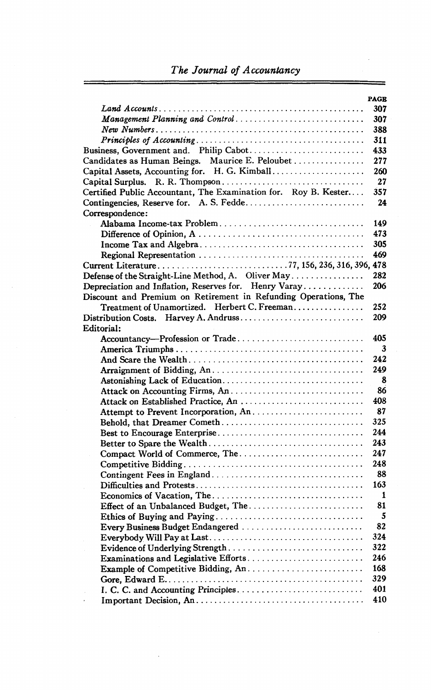### *The Journal of Accountancy*

|                                                                 | <b>PAGE</b> |
|-----------------------------------------------------------------|-------------|
|                                                                 | 307         |
| Management Planning and Control                                 | 307         |
|                                                                 | 388         |
|                                                                 | 311         |
| Business, Government and. Philip Cabot                          | 433         |
| Candidates as Human Beings. Maurice E. Peloubet                 | 277         |
| Capital Assets, Accounting for. H. G. Kimball                   | 260         |
|                                                                 | 27          |
| Certified Public Accountant, The Examination for. Roy B. Kester | 357         |
| Contingencies, Reserve for. A. S. Fedde                         | 24          |
| Correspondence:                                                 |             |
| Alabama Income-tax Problem                                      | 149         |
|                                                                 | 473         |
|                                                                 | 305         |
|                                                                 | 469         |
|                                                                 |             |
| Defense of the Straight-Line Method, A. Oliver May              | 282         |
| Depreciation and Inflation, Reserves for. Henry Varay           | 206         |
| Discount and Premium on Retirement in Refunding Operations, The |             |
| Treatment of Unamortized. Herbert C. Freeman                    | 252         |
| Distribution Costs. Harvey A. Andruss                           | 209         |
| Editorial:                                                      |             |
| Accountancy-Profession or Trade                                 | 405         |
|                                                                 | 3           |
|                                                                 | 242         |
|                                                                 | 249         |
| Astonishing Lack of Education                                   | 8           |
| Attack on Accounting Firms, An                                  | 86          |
| Attack on Established Practice, An                              | 408         |
| Attempt to Prevent Incorporation, An                            | 87          |
| Behold, that Dreamer Cometh                                     | 325         |
|                                                                 | 244         |
|                                                                 | 243         |
| Compact World of Commerce, The                                  | 247         |
|                                                                 | 248         |
|                                                                 | 88          |
|                                                                 | 163         |
|                                                                 | 1           |
|                                                                 | 81          |
| Effect of an Unbalanced Budget, The                             | 5           |
|                                                                 |             |
| Every Business Budget Endangered                                | 82          |
|                                                                 | 324         |
|                                                                 | 322         |
| Examinations and Legislative Efforts                            | 246         |
| Example of Competitive Bidding, An                              | 168         |
|                                                                 | 329         |
|                                                                 | 401         |
|                                                                 | 410         |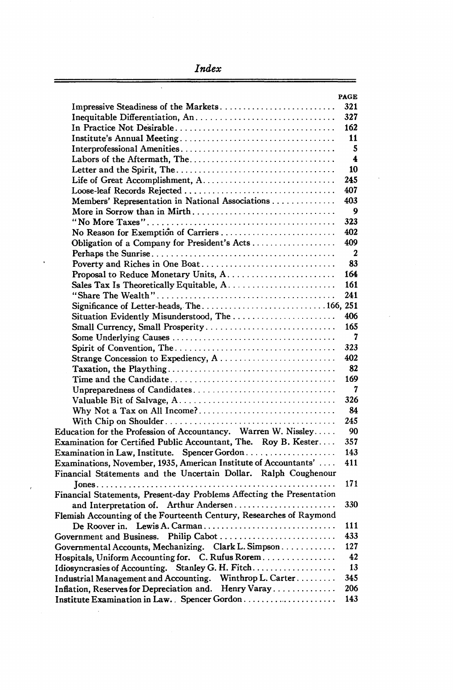*Index*

 $\overline{\phantom{a}}$ 

|                                                                       | <b>PAGE</b>      |
|-----------------------------------------------------------------------|------------------|
| Impressive Steadiness of the Markets                                  | 321              |
|                                                                       | 327              |
|                                                                       | 162              |
|                                                                       | 11               |
|                                                                       | 5                |
|                                                                       | 4                |
|                                                                       | 10               |
|                                                                       | 245              |
|                                                                       | 407              |
| Members' Representation in National Associations                      | 403              |
| More in Sorrow than in Mirth                                          | 9                |
|                                                                       | 323              |
|                                                                       | 402              |
| Obligation of a Company for President's Acts                          | 409              |
|                                                                       | $\boldsymbol{2}$ |
| Poverty and Riches in One Boat                                        | 83               |
|                                                                       | 164              |
|                                                                       | 161              |
|                                                                       | 241              |
|                                                                       |                  |
| Situation Evidently Misunderstood, The                                | 406              |
| Small Currency, Small Prosperity                                      | 165              |
|                                                                       | 7                |
|                                                                       | 323              |
|                                                                       | 402              |
|                                                                       | 82<br>169        |
|                                                                       | 7                |
| Unpreparedness of Candidates                                          | 326              |
| Why Not a Tax on All Income?                                          | 84               |
|                                                                       | 245              |
| Education for the Profession of Accountancy. Warren W. Nissley        | 90               |
| Examination for Certified Public Accountant, The. Roy B. Kester       | 357              |
| Examination in Law, Institute. Spencer Gordon                         | 143              |
| Examinations, November, 1935, American Institute of Accountants'      | 411              |
| Financial Statements and the Uncertain Dollar. Ralph Coughenour       |                  |
|                                                                       | 171              |
| Financial Statements, Present-day Problems Affecting the Presentation |                  |
| and Interpretation of. Arthur Andersen                                | 330              |
| Flemish Accounting of the Fourteenth Century, Researches of Raymond   |                  |
| De Roover in. Lewis A. Carman                                         | 111              |
| Government and Business. Philip Cabot                                 | 433              |
| Governmental Accounts, Mechanizing. Clark L. Simpson                  | 127              |
| Hospitals, Uniform Accounting for. C. Rufus Rorem                     | 42               |
| Idiosyncrasies of Accounting. Stanley G. H. Fitch                     | 13               |
| Industrial Management and Accounting. Winthrop L. Carter              | 345              |
| Inflation, Reserves for Depreciation and. Henry Varay                 | 206              |
| Institute Examination in Law. Spencer Gordon                          | 143              |

 $\overline{\phantom{a}}$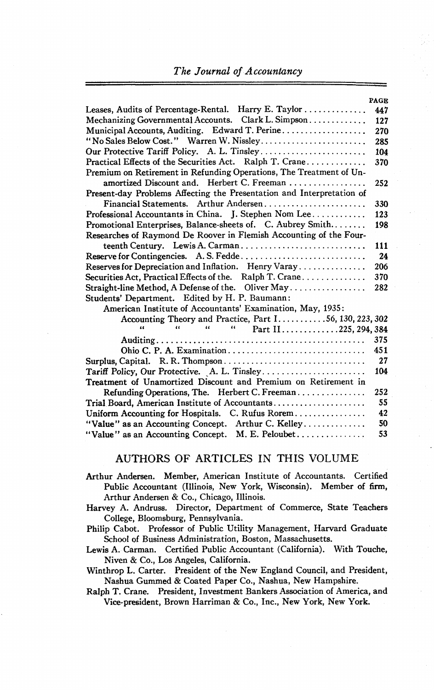#### *The Journal of Accountancy*

|                                                                                                                                                                    | <b>PAGE</b> |
|--------------------------------------------------------------------------------------------------------------------------------------------------------------------|-------------|
|                                                                                                                                                                    | 447         |
| Mechanizing Governmental Accounts. Clark L. Simpson                                                                                                                | 127         |
| Municipal Accounts, Auditing. Edward T. Perine                                                                                                                     | 270         |
| "No Sales Below Cost." Warren W. Nissley                                                                                                                           | 285         |
| Our Protective Tariff Policy. A. L. Tinsley                                                                                                                        | 104         |
| Practical Effects of the Securities Act. Ralph T. Crane                                                                                                            | 370         |
| Premium on Retirement in Refunding Operations, The Treatment of Un-                                                                                                |             |
| amortized Discount and, Herbert C. Freeman                                                                                                                         | 252         |
| Present-day Problems Affecting the Presentation and Interpretation of                                                                                              |             |
| Financial Statements. Arthur Andersen                                                                                                                              | 330         |
| Professional Accountants in China. J. Stephen Nom Lee                                                                                                              | 123         |
| Promotional Enterprises, Balance-sheets of. C. Aubrey Smith                                                                                                        | 198         |
| Researches of Raymond De Roover in Flemish Accounting of the Four-                                                                                                 |             |
| teenth Century. Lewis A. Carman                                                                                                                                    | 111         |
| Reserve for Contingencies. A. S. Fedde                                                                                                                             | 24          |
| Reserves for Depreciation and Inflation. Henry Varay                                                                                                               | 206         |
| Securities Act. Practical Effects of the. Ralph T. Crane                                                                                                           | 370         |
| Straight-line Method, A Defense of the. Oliver May                                                                                                                 | 282         |
| Students' Department. Edited by H. P. Baumann:                                                                                                                     |             |
| American Institute of Accountants' Examination, May, 1935:                                                                                                         |             |
| Accounting Theory and Practice, Part $1 \dots 56$ , 130, 223, 302                                                                                                  |             |
| $\alpha$ and $\alpha$<br>$\mathbf{G}(\mathbf{r})$ , $\mathbf{G}(\mathbf{r})$ , $\mathbf{G}(\mathbf{r})$<br>" Part II225, 294, 384<br>$\mathbf{a}$ and $\mathbf{a}$ |             |
|                                                                                                                                                                    | 375         |
| Ohio C. P. A. Examination                                                                                                                                          | 451         |
|                                                                                                                                                                    | 27          |
| Tariff Policy, Our Protective. A. L. Tinsley                                                                                                                       | 104         |
| Treatment of Unamortized Discount and Premium on Retirement in                                                                                                     |             |
| Refunding Operations, The. Herbert C. Freeman                                                                                                                      | 252         |
| Trial Board, American Institute of Accountants                                                                                                                     | 55          |
| Uniform Accounting for Hospitals. C. Rufus Rorem                                                                                                                   | 42          |
| "Value" as an Accounting Concept. Arthur C. Kelley                                                                                                                 | 50          |
| "Value" as an Accounting Concept. M. E. Peloubet                                                                                                                   | 53          |

#### AUTHORS OF ARTICLES IN THIS VOLUME

- Arthur Andersen. Member, American Institute of Accountants. Certified Public Accountant (Illinois, New York, Wisconsin). Member of firm, Arthur Andersen & Co., Chicago, Illinois.
- Harvey A. Andruss. Director, Department of Commerce, State Teachers College, Bloomsburg, Pennsylvania.
- Philip Cabot. Professor of Public Utility Management, Harvard Graduate School of Business Administration, Boston, Massachusetts.

Lewis A. Carman. Certified Public Accountant (California). With Touche, Niven & Co., Los Angeles, California.

Winthrop L. Carter. President of the New England Council, and President, Nashua Gummed & Coated Paper Co., Nashua, New Hampshire.

Ralph T. Crane. President, Investment Bankers Association of America, and Vice-president, Brown Harriman & Co., Inc., New York, New York.